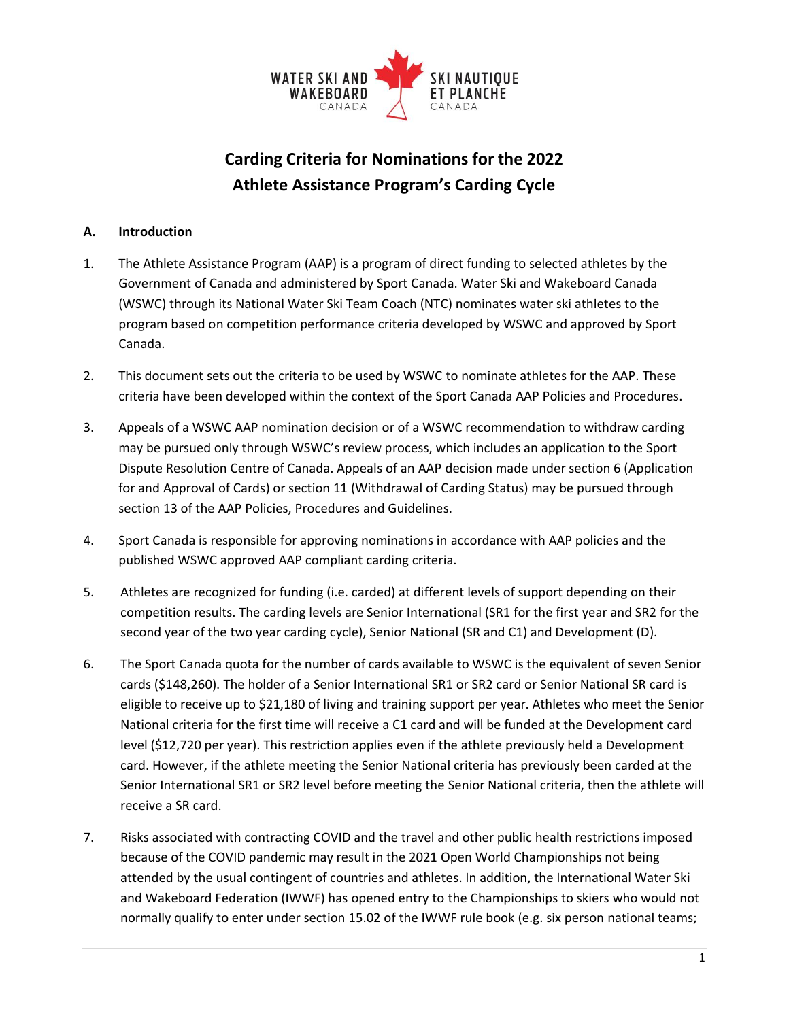

# **Carding Criteria for Nominations for the 2022 Athlete Assistance Program's Carding Cycle**

#### **A. Introduction**

- 1. The Athlete Assistance Program (AAP) is a program of direct funding to selected athletes by the Government of Canada and administered by Sport Canada. Water Ski and Wakeboard Canada (WSWC) through its National Water Ski Team Coach (NTC) nominates water ski athletes to the program based on competition performance criteria developed by WSWC and approved by Sport Canada.
- 2. This document sets out the criteria to be used by WSWC to nominate athletes for the AAP. These criteria have been developed within the context of the Sport Canada AAP Policies and Procedures.
- 3. Appeals of a WSWC AAP nomination decision or of a WSWC recommendation to withdraw carding may be pursued only through WSWC's review process, which includes an application to the Sport Dispute Resolution Centre of Canada. Appeals of an AAP decision made under section 6 (Application for and Approval of Cards) or section 11 (Withdrawal of Carding Status) may be pursued through section 13 of the AAP Policies, Procedures and Guidelines.
- 4. Sport Canada is responsible for approving nominations in accordance with AAP policies and the published WSWC approved AAP compliant carding criteria.
- 5. Athletes are recognized for funding (i.e. carded) at different levels of support depending on their competition results. The carding levels are Senior International (SR1 for the first year and SR2 for the second year of the two year carding cycle), Senior National (SR and C1) and Development (D).
- 6. The Sport Canada quota for the number of cards available to WSWC is the equivalent of seven Senior cards (\$148,260). The holder of a Senior International SR1 or SR2 card or Senior National SR card is eligible to receive up to \$21,180 of living and training support per year. Athletes who meet the Senior National criteria for the first time will receive a C1 card and will be funded at the Development card level (\$12,720 per year). This restriction applies even if the athlete previously held a Development card. However, if the athlete meeting the Senior National criteria has previously been carded at the Senior International SR1 or SR2 level before meeting the Senior National criteria, then the athlete will receive a SR card.
- 7. Risks associated with contracting COVID and the travel and other public health restrictions imposed because of the COVID pandemic may result in the 2021 Open World Championships not being attended by the usual contingent of countries and athletes. In addition, the International Water Ski and Wakeboard Federation (IWWF) has opened entry to the Championships to skiers who would not normally qualify to enter under section 15.02 of the IWWF rule book (e.g. six person national teams;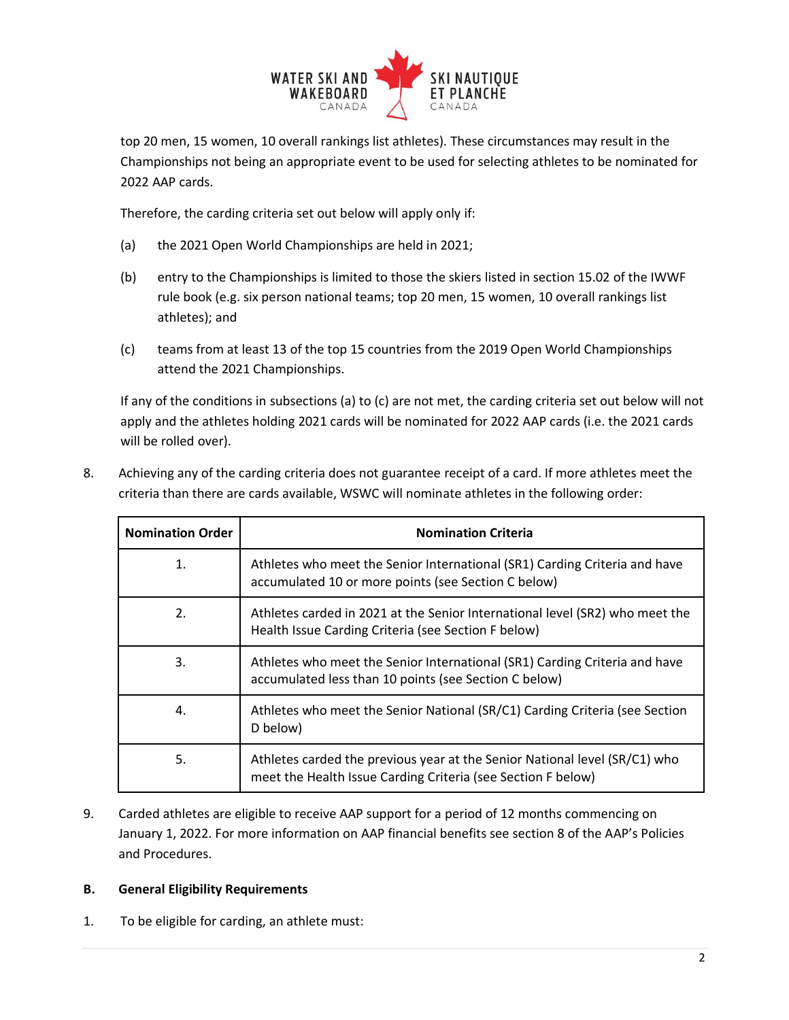

top 20 men, 15 women, 10 overall rankings list athletes). These circumstances may result in the Championships not being an appropriate event to be used for selecting athletes to be nominated for 2022 AAP cards.

Therefore, the carding criteria set out below will apply only if:

- (a) the 2021 Open World Championships are held in 2021;
- (b) entry to the Championships is limited to those the skiers listed in section 15.02 of the IWWF rule book (e.g. six person national teams; top 20 men, 15 women, 10 overall rankings list athletes); and
- (c) teams from at least 13 of the top 15 countries from the 2019 Open World Championships attend the 2021 Championships.

If any of the conditions in subsections (a) to (c) are not met, the carding criteria set out below will not apply and the athletes holding 2021 cards will be nominated for 2022 AAP cards (i.e. the 2021 cards will be rolled over).

| <b>Nomination Order</b> | <b>Nomination Criteria</b>                                                                                                                 |
|-------------------------|--------------------------------------------------------------------------------------------------------------------------------------------|
| 1.                      | Athletes who meet the Senior International (SR1) Carding Criteria and have<br>accumulated 10 or more points (see Section C below)          |
| 2.                      | Athletes carded in 2021 at the Senior International level (SR2) who meet the<br>Health Issue Carding Criteria (see Section F below)        |
| 3.                      | Athletes who meet the Senior International (SR1) Carding Criteria and have<br>accumulated less than 10 points (see Section C below)        |
| 4.                      | Athletes who meet the Senior National (SR/C1) Carding Criteria (see Section<br>D below)                                                    |
| 5.                      | Athletes carded the previous year at the Senior National level (SR/C1) who<br>meet the Health Issue Carding Criteria (see Section F below) |

8. Achieving any of the carding criteria does not guarantee receipt of a card. If more athletes meet the criteria than there are cards available, WSWC will nominate athletes in the following order:

9. Carded athletes are eligible to receive AAP support for a period of 12 months commencing on January 1, 2022. For more information on AAP financial benefits see section 8 of the AAP's Policies and Procedures.

#### **B. General Eligibility Requirements**

1. To be eligible for carding, an athlete must: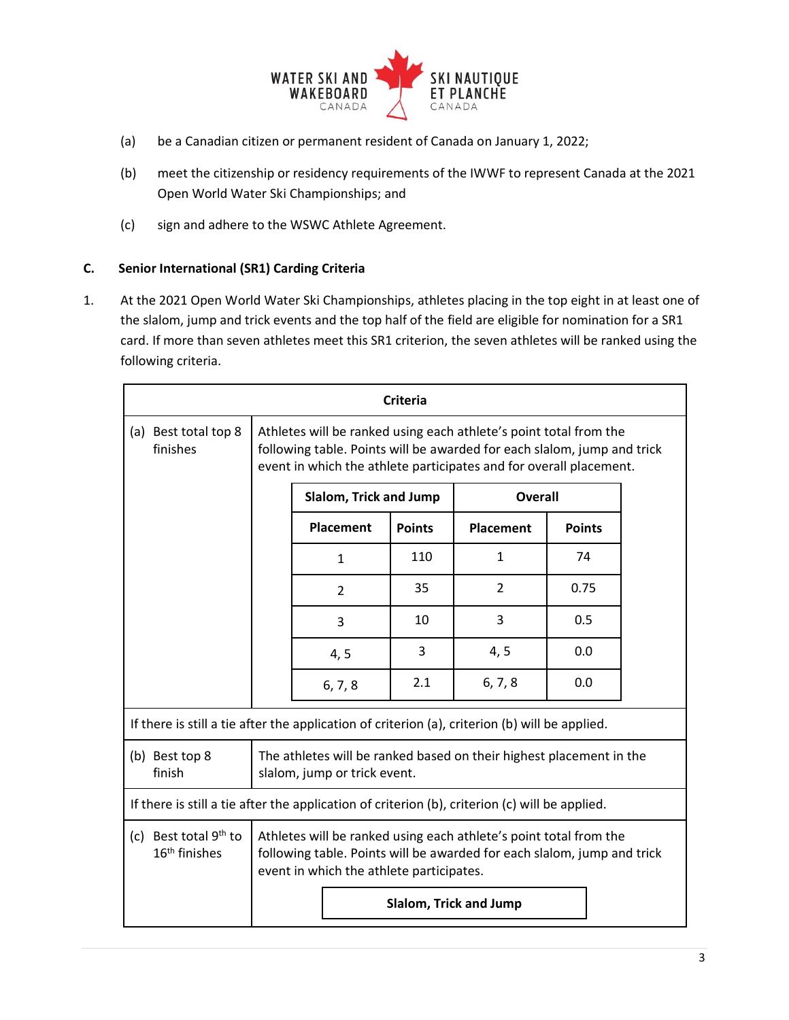

- (a) be a Canadian citizen or permanent resident of Canada on January 1, 2022;
- (b) meet the citizenship or residency requirements of the IWWF to represent Canada at the 2021 Open World Water Ski Championships; and
- (c) sign and adhere to the WSWC Athlete Agreement.

#### **C. Senior International (SR1) Carding Criteria**

1. At the 2021 Open World Water Ski Championships, athletes placing in the top eight in at least one of the slalom, jump and trick events and the top half of the field are eligible for nomination for a SR1 card. If more than seven athletes meet this SR1 criterion, the seven athletes will be ranked using the following criteria.

| Criteria                                                                                       |                                                                                                                                                                                                                    |                        |               |                  |               |  |
|------------------------------------------------------------------------------------------------|--------------------------------------------------------------------------------------------------------------------------------------------------------------------------------------------------------------------|------------------------|---------------|------------------|---------------|--|
| (a) Best total top 8<br>finishes                                                               | Athletes will be ranked using each athlete's point total from the<br>following table. Points will be awarded for each slalom, jump and trick<br>event in which the athlete participates and for overall placement. |                        |               |                  |               |  |
|                                                                                                |                                                                                                                                                                                                                    | Slalom, Trick and Jump |               | Overall          |               |  |
|                                                                                                |                                                                                                                                                                                                                    | Placement              | <b>Points</b> | <b>Placement</b> | <b>Points</b> |  |
|                                                                                                |                                                                                                                                                                                                                    | $\mathbf{1}$           | 110           | $\mathbf{1}$     | 74            |  |
|                                                                                                |                                                                                                                                                                                                                    | $\overline{2}$         | 35            | $\overline{2}$   | 0.75          |  |
|                                                                                                |                                                                                                                                                                                                                    | 3                      | 10            | 3                | 0.5           |  |
|                                                                                                |                                                                                                                                                                                                                    | 4, 5                   | 3             | 4, 5             | 0.0           |  |
|                                                                                                |                                                                                                                                                                                                                    | 6, 7, 8                | 2.1           | 6, 7, 8          | 0.0           |  |
| If there is still a tie after the application of criterion (a), criterion (b) will be applied. |                                                                                                                                                                                                                    |                        |               |                  |               |  |
| (b) Best top 8<br>finish                                                                       | The athletes will be ranked based on their highest placement in the<br>slalom, jump or trick event.                                                                                                                |                        |               |                  |               |  |
| If there is still a tie after the application of criterion (b), criterion (c) will be applied. |                                                                                                                                                                                                                    |                        |               |                  |               |  |
| (c) Best total 9 <sup>th</sup> to<br>16 <sup>th</sup> finishes                                 | Athletes will be ranked using each athlete's point total from the<br>following table. Points will be awarded for each slalom, jump and trick<br>event in which the athlete participates.                           |                        |               |                  |               |  |
|                                                                                                | Slalom, Trick and Jump                                                                                                                                                                                             |                        |               |                  |               |  |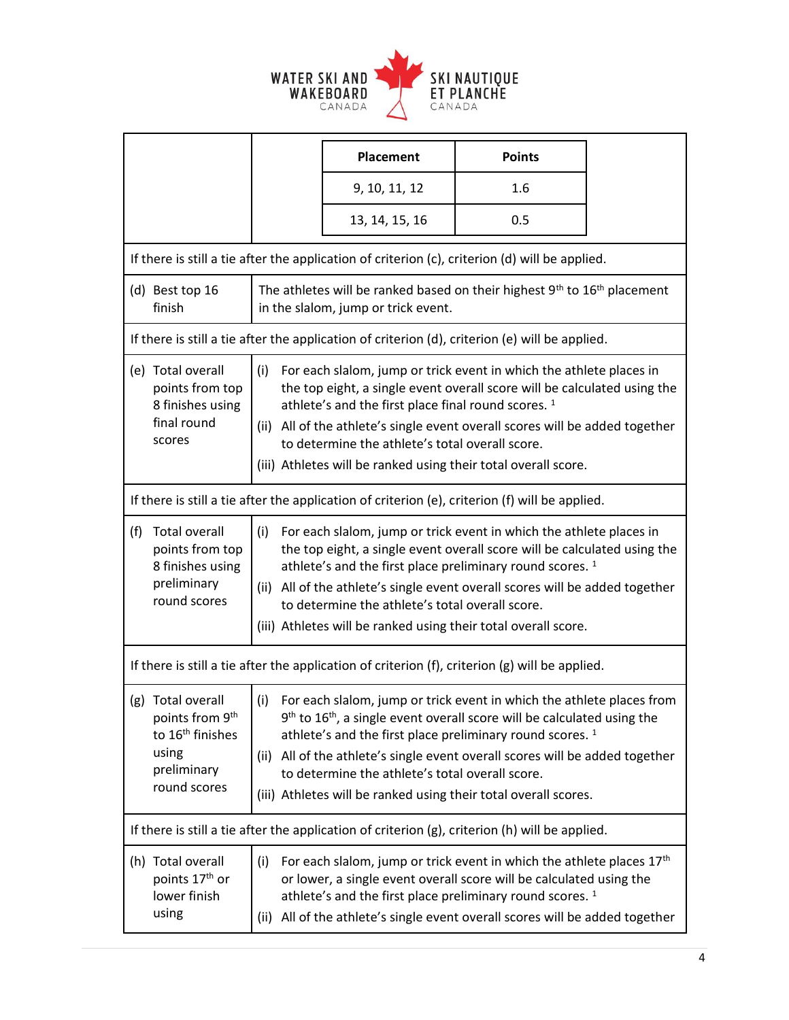

|                                                                                                   |                                                                                                                                                                                                                                                                                                                                                                                                                                                                                                                                                                        |                                                                                                                                                                                                                                                                                                                                                                                                                                     | <b>Placement</b>                                                                                                                                                                                                                                                                                  | <b>Points</b> |  |
|---------------------------------------------------------------------------------------------------|------------------------------------------------------------------------------------------------------------------------------------------------------------------------------------------------------------------------------------------------------------------------------------------------------------------------------------------------------------------------------------------------------------------------------------------------------------------------------------------------------------------------------------------------------------------------|-------------------------------------------------------------------------------------------------------------------------------------------------------------------------------------------------------------------------------------------------------------------------------------------------------------------------------------------------------------------------------------------------------------------------------------|---------------------------------------------------------------------------------------------------------------------------------------------------------------------------------------------------------------------------------------------------------------------------------------------------|---------------|--|
|                                                                                                   |                                                                                                                                                                                                                                                                                                                                                                                                                                                                                                                                                                        |                                                                                                                                                                                                                                                                                                                                                                                                                                     | 9, 10, 11, 12                                                                                                                                                                                                                                                                                     | 1.6           |  |
|                                                                                                   |                                                                                                                                                                                                                                                                                                                                                                                                                                                                                                                                                                        |                                                                                                                                                                                                                                                                                                                                                                                                                                     | 13, 14, 15, 16                                                                                                                                                                                                                                                                                    | 0.5           |  |
|                                                                                                   |                                                                                                                                                                                                                                                                                                                                                                                                                                                                                                                                                                        |                                                                                                                                                                                                                                                                                                                                                                                                                                     | If there is still a tie after the application of criterion (c), criterion (d) will be applied.                                                                                                                                                                                                    |               |  |
| (d) Best top 16<br>finish                                                                         |                                                                                                                                                                                                                                                                                                                                                                                                                                                                                                                                                                        | The athletes will be ranked based on their highest 9 <sup>th</sup> to 16 <sup>th</sup> placement<br>in the slalom, jump or trick event.                                                                                                                                                                                                                                                                                             |                                                                                                                                                                                                                                                                                                   |               |  |
|                                                                                                   |                                                                                                                                                                                                                                                                                                                                                                                                                                                                                                                                                                        |                                                                                                                                                                                                                                                                                                                                                                                                                                     | If there is still a tie after the application of criterion (d), criterion (e) will be applied.                                                                                                                                                                                                    |               |  |
| scores                                                                                            | (e) Total overall<br>For each slalom, jump or trick event in which the athlete places in<br>(i)<br>points from top<br>the top eight, a single event overall score will be calculated using the<br>8 finishes using<br>athlete's and the first place final round scores. <sup>1</sup><br>final round<br>(ii) All of the athlete's single event overall scores will be added together<br>to determine the athlete's total overall score.<br>(iii) Athletes will be ranked using their total overall score.                                                               |                                                                                                                                                                                                                                                                                                                                                                                                                                     |                                                                                                                                                                                                                                                                                                   |               |  |
|                                                                                                   |                                                                                                                                                                                                                                                                                                                                                                                                                                                                                                                                                                        |                                                                                                                                                                                                                                                                                                                                                                                                                                     | If there is still a tie after the application of criterion (e), criterion (f) will be applied.                                                                                                                                                                                                    |               |  |
| <b>Total overall</b><br>(f)<br>points from top<br>8 finishes using<br>preliminary<br>round scores |                                                                                                                                                                                                                                                                                                                                                                                                                                                                                                                                                                        | For each slalom, jump or trick event in which the athlete places in<br>(i)<br>the top eight, a single event overall score will be calculated using the<br>athlete's and the first place preliminary round scores. <sup>1</sup><br>(ii) All of the athlete's single event overall scores will be added together<br>to determine the athlete's total overall score.<br>(iii) Athletes will be ranked using their total overall score. |                                                                                                                                                                                                                                                                                                   |               |  |
|                                                                                                   |                                                                                                                                                                                                                                                                                                                                                                                                                                                                                                                                                                        |                                                                                                                                                                                                                                                                                                                                                                                                                                     | If there is still a tie after the application of criterion (f), criterion (g) will be applied.                                                                                                                                                                                                    |               |  |
| using                                                                                             | (g) Total overall<br>For each slalom, jump or trick event in which the athlete places from<br>(i)<br>points from 9 <sup>th</sup><br>$9th$ to 16 <sup>th</sup> , a single event overall score will be calculated using the<br>to 16 <sup>th</sup> finishes<br>athlete's and the first place preliminary round scores. <sup>1</sup><br>(ii) All of the athlete's single event overall scores will be added together<br>preliminary<br>to determine the athlete's total overall score.<br>round scores<br>(iii) Athletes will be ranked using their total overall scores. |                                                                                                                                                                                                                                                                                                                                                                                                                                     |                                                                                                                                                                                                                                                                                                   |               |  |
|                                                                                                   |                                                                                                                                                                                                                                                                                                                                                                                                                                                                                                                                                                        |                                                                                                                                                                                                                                                                                                                                                                                                                                     | If there is still a tie after the application of criterion (g), criterion (h) will be applied.                                                                                                                                                                                                    |               |  |
| (h) Total overall<br>points 17 <sup>th</sup> or<br>lower finish<br>using                          | (i)                                                                                                                                                                                                                                                                                                                                                                                                                                                                                                                                                                    | (ii)                                                                                                                                                                                                                                                                                                                                                                                                                                | For each slalom, jump or trick event in which the athlete places $17th$<br>or lower, a single event overall score will be calculated using the<br>athlete's and the first place preliminary round scores. <sup>1</sup><br>All of the athlete's single event overall scores will be added together |               |  |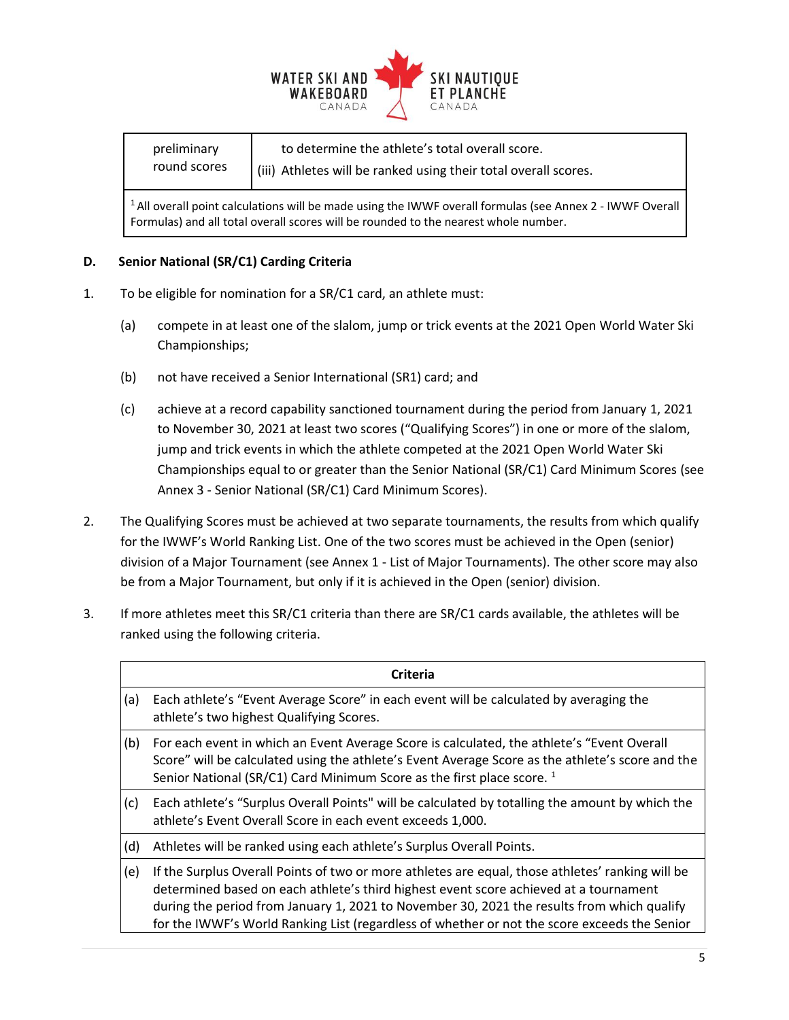

| to determine the athlete's total overall score.<br>preliminary<br>round scores<br>(iii) Athletes will be ranked using their total overall scores. |  |
|---------------------------------------------------------------------------------------------------------------------------------------------------|--|
|---------------------------------------------------------------------------------------------------------------------------------------------------|--|

<sup>1</sup> All overall point calculations will be made using the IWWF overall formulas (see Annex 2 - IWWF Overall Formulas) and all total overall scores will be rounded to the nearest whole number.

### **D. Senior National (SR/C1) Carding Criteria**

- 1. To be eligible for nomination for a SR/C1 card, an athlete must:
	- (a) compete in at least one of the slalom, jump or trick events at the 2021 Open World Water Ski Championships;
	- (b) not have received a Senior International (SR1) card; and
	- (c) achieve at a record capability sanctioned tournament during the period from January 1, 2021 to November 30, 2021 at least two scores ("Qualifying Scores") in one or more of the slalom, jump and trick events in which the athlete competed at the 2021 Open World Water Ski Championships equal to or greater than the Senior National (SR/C1) Card Minimum Scores (see Annex 3 - Senior National (SR/C1) Card Minimum Scores).
- 2. The Qualifying Scores must be achieved at two separate tournaments, the results from which qualify for the IWWF's World Ranking List. One of the two scores must be achieved in the Open (senior) division of a Major Tournament (see Annex 1 - List of Major Tournaments). The other score may also be from a Major Tournament, but only if it is achieved in the Open (senior) division.
- 3. If more athletes meet this SR/C1 criteria than there are SR/C1 cards available, the athletes will be ranked using the following criteria.

|     | <b>Criteria</b>                                                                                                                                                                                                                                                                                                                                                                         |
|-----|-----------------------------------------------------------------------------------------------------------------------------------------------------------------------------------------------------------------------------------------------------------------------------------------------------------------------------------------------------------------------------------------|
| (a) | Each athlete's "Event Average Score" in each event will be calculated by averaging the<br>athlete's two highest Qualifying Scores.                                                                                                                                                                                                                                                      |
| (b) | For each event in which an Event Average Score is calculated, the athlete's "Event Overall"<br>Score" will be calculated using the athlete's Event Average Score as the athlete's score and the<br>Senior National (SR/C1) Card Minimum Score as the first place score. <sup>1</sup>                                                                                                    |
| (c) | Each athlete's "Surplus Overall Points" will be calculated by totalling the amount by which the<br>athlete's Event Overall Score in each event exceeds 1,000.                                                                                                                                                                                                                           |
| (d) | Athletes will be ranked using each athlete's Surplus Overall Points.                                                                                                                                                                                                                                                                                                                    |
| (e) | If the Surplus Overall Points of two or more athletes are equal, those athletes' ranking will be<br>determined based on each athlete's third highest event score achieved at a tournament<br>during the period from January 1, 2021 to November 30, 2021 the results from which qualify<br>for the IWWF's World Ranking List (regardless of whether or not the score exceeds the Senior |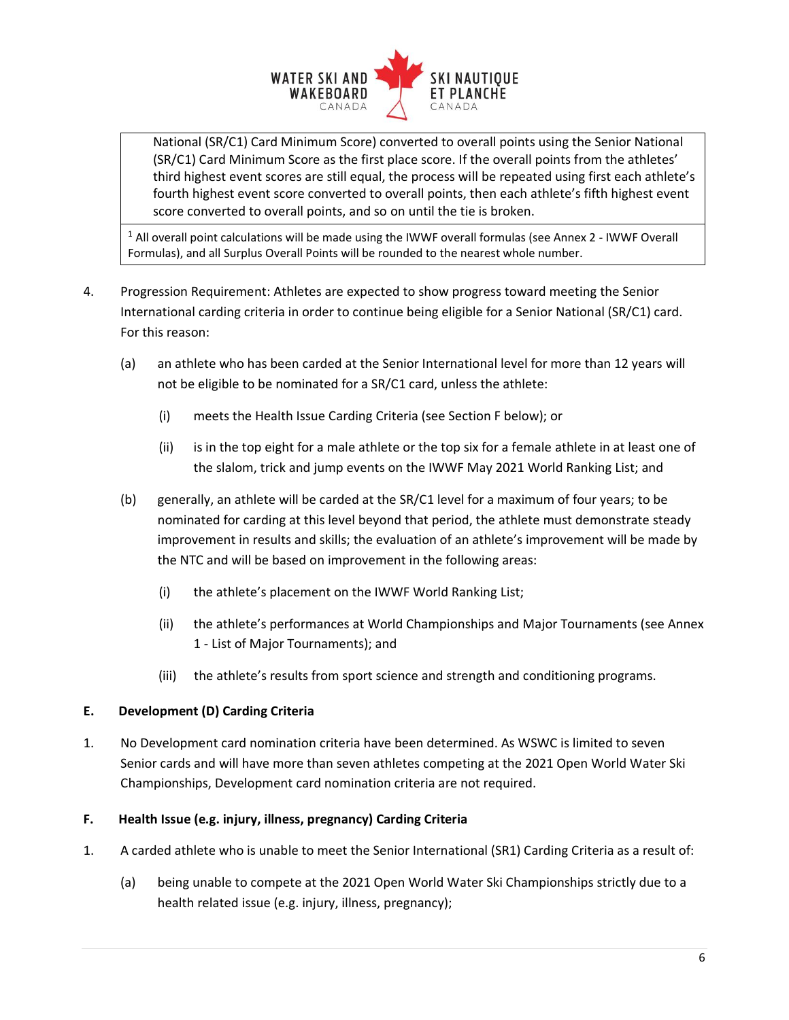

National (SR/C1) Card Minimum Score) converted to overall points using the Senior National (SR/C1) Card Minimum Score as the first place score. If the overall points from the athletes' third highest event scores are still equal, the process will be repeated using first each athlete's fourth highest event score converted to overall points, then each athlete's fifth highest event score converted to overall points, and so on until the tie is broken.

<sup>1</sup> All overall point calculations will be made using the IWWF overall formulas (see Annex 2 - IWWF Overall Formulas), and all Surplus Overall Points will be rounded to the nearest whole number.

- 4. Progression Requirement: Athletes are expected to show progress toward meeting the Senior International carding criteria in order to continue being eligible for a Senior National (SR/C1) card. For this reason:
	- (a) an athlete who has been carded at the Senior International level for more than 12 years will not be eligible to be nominated for a SR/C1 card, unless the athlete:
		- (i) meets the Health Issue Carding Criteria (see Section F below); or
		- (ii) is in the top eight for a male athlete or the top six for a female athlete in at least one of the slalom, trick and jump events on the IWWF May 2021 World Ranking List; and
	- (b) generally, an athlete will be carded at the SR/C1 level for a maximum of four years; to be nominated for carding at this level beyond that period, the athlete must demonstrate steady improvement in results and skills; the evaluation of an athlete's improvement will be made by the NTC and will be based on improvement in the following areas:
		- (i) the athlete's placement on the IWWF World Ranking List;
		- (ii) the athlete's performances at World Championships and Major Tournaments (see Annex 1 - List of Major Tournaments); and
		- (iii) the athlete's results from sport science and strength and conditioning programs.

### **E. Development (D) Carding Criteria**

1. No Development card nomination criteria have been determined. As WSWC is limited to seven Senior cards and will have more than seven athletes competing at the 2021 Open World Water Ski Championships, Development card nomination criteria are not required.

### **F. Health Issue (e.g. injury, illness, pregnancy) Carding Criteria**

- 1. A carded athlete who is unable to meet the Senior International (SR1) Carding Criteria as a result of:
	- (a) being unable to compete at the 2021 Open World Water Ski Championships strictly due to a health related issue (e.g. injury, illness, pregnancy);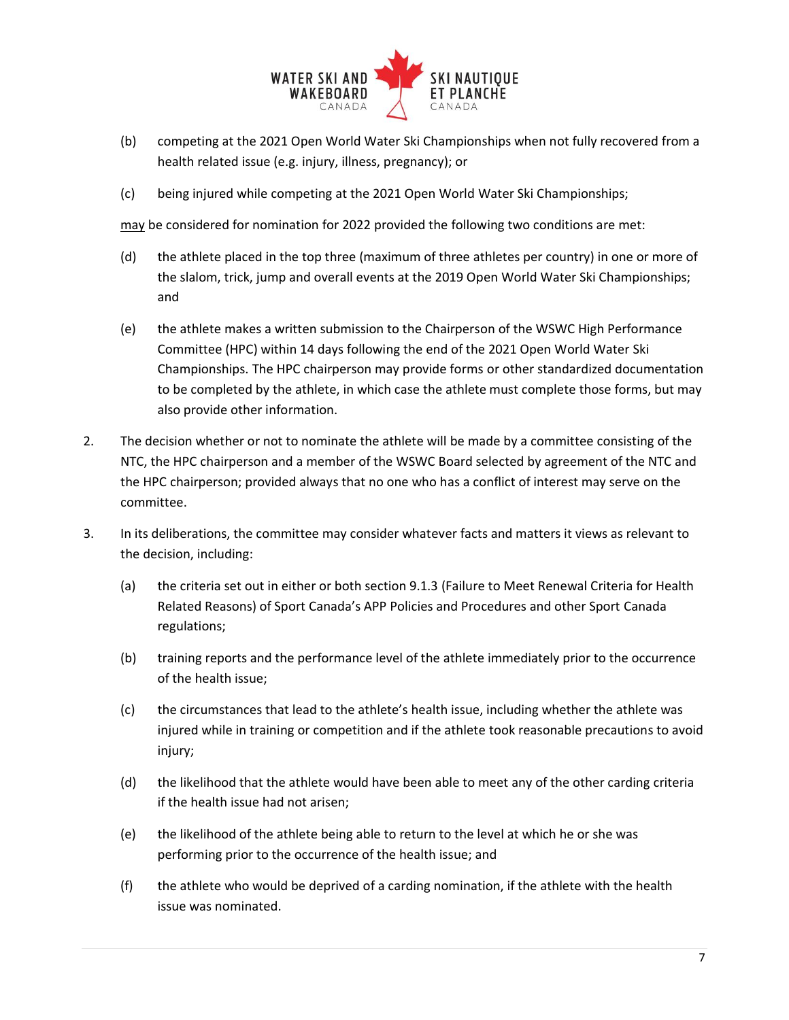

- (b) competing at the 2021 Open World Water Ski Championships when not fully recovered from a health related issue (e.g. injury, illness, pregnancy); or
- (c) being injured while competing at the 2021 Open World Water Ski Championships;

may be considered for nomination for 2022 provided the following two conditions are met:

- (d) the athlete placed in the top three (maximum of three athletes per country) in one or more of the slalom, trick, jump and overall events at the 2019 Open World Water Ski Championships; and
- (e) the athlete makes a written submission to the Chairperson of the WSWC High Performance Committee (HPC) within 14 days following the end of the 2021 Open World Water Ski Championships. The HPC chairperson may provide forms or other standardized documentation to be completed by the athlete, in which case the athlete must complete those forms, but may also provide other information.
- 2. The decision whether or not to nominate the athlete will be made by a committee consisting of the NTC, the HPC chairperson and a member of the WSWC Board selected by agreement of the NTC and the HPC chairperson; provided always that no one who has a conflict of interest may serve on the committee.
- 3. In its deliberations, the committee may consider whatever facts and matters it views as relevant to the decision, including:
	- (a) the criteria set out in either or both section 9.1.3 (Failure to Meet Renewal Criteria for Health Related Reasons) of Sport Canada's APP Policies and Procedures and other Sport Canada regulations;
	- (b) training reports and the performance level of the athlete immediately prior to the occurrence of the health issue;
	- (c) the circumstances that lead to the athlete's health issue, including whether the athlete was injured while in training or competition and if the athlete took reasonable precautions to avoid injury;
	- (d) the likelihood that the athlete would have been able to meet any of the other carding criteria if the health issue had not arisen;
	- (e) the likelihood of the athlete being able to return to the level at which he or she was performing prior to the occurrence of the health issue; and
	- (f) the athlete who would be deprived of a carding nomination, if the athlete with the health issue was nominated.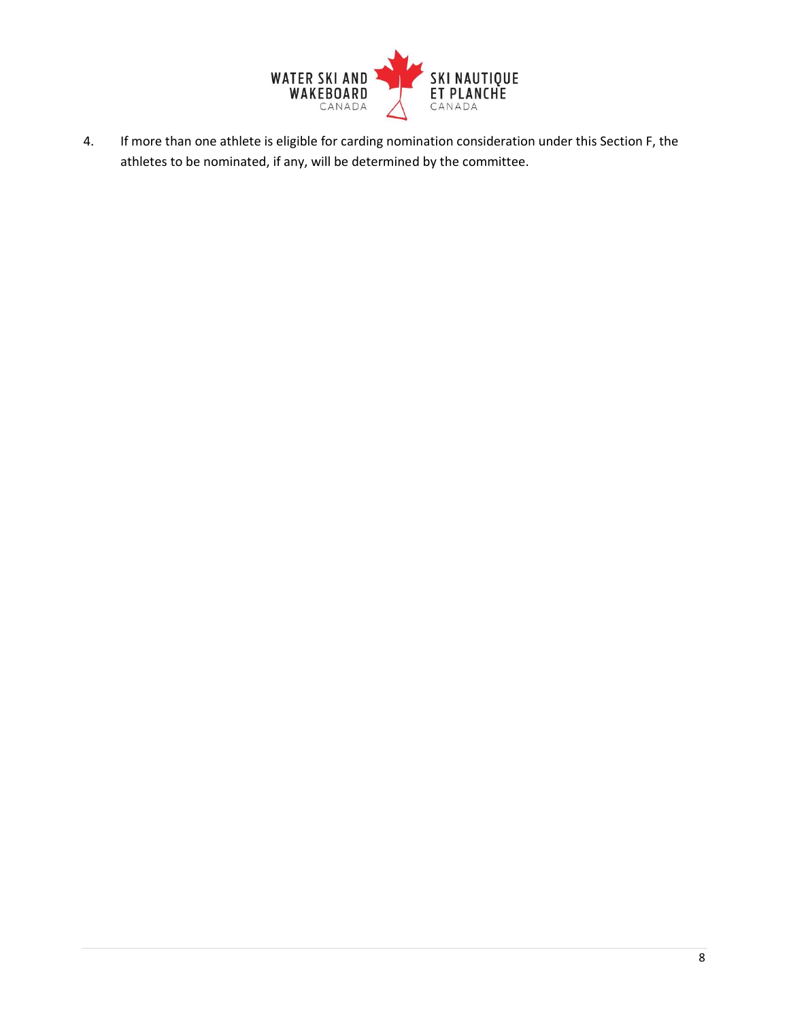

4. If more than one athlete is eligible for carding nomination consideration under this Section F, the athletes to be nominated, if any, will be determined by the committee.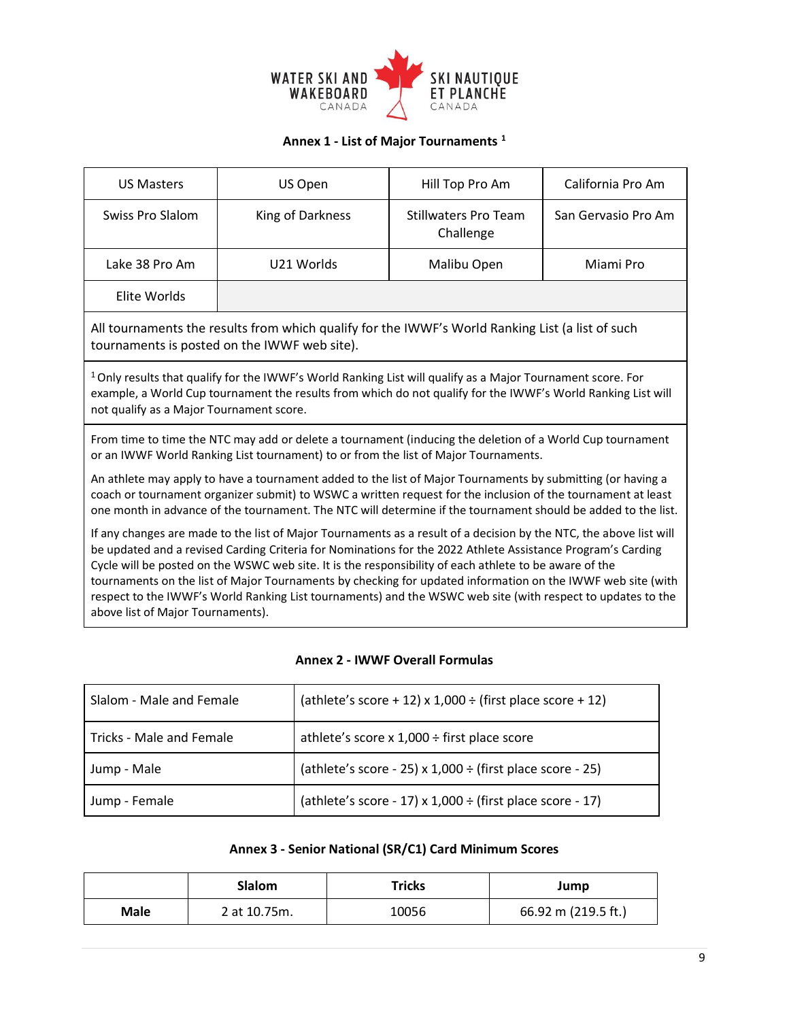

## **Annex 1 - List of Major Tournaments <sup>1</sup>**

| <b>US Masters</b>                                                                                                                                                                                                                                                                                                                                                                                                                                                                                                                                                                                              | US Open                                                                                                                                          | Hill Top Pro Am                          | California Pro Am   |  |
|----------------------------------------------------------------------------------------------------------------------------------------------------------------------------------------------------------------------------------------------------------------------------------------------------------------------------------------------------------------------------------------------------------------------------------------------------------------------------------------------------------------------------------------------------------------------------------------------------------------|--------------------------------------------------------------------------------------------------------------------------------------------------|------------------------------------------|---------------------|--|
| Swiss Pro Slalom                                                                                                                                                                                                                                                                                                                                                                                                                                                                                                                                                                                               | King of Darkness                                                                                                                                 | <b>Stillwaters Pro Team</b><br>Challenge | San Gervasio Pro Am |  |
| Lake 38 Pro Am                                                                                                                                                                                                                                                                                                                                                                                                                                                                                                                                                                                                 | U21 Worlds                                                                                                                                       | Malibu Open                              | Miami Pro           |  |
| Elite Worlds                                                                                                                                                                                                                                                                                                                                                                                                                                                                                                                                                                                                   |                                                                                                                                                  |                                          |                     |  |
|                                                                                                                                                                                                                                                                                                                                                                                                                                                                                                                                                                                                                | All tournaments the results from which qualify for the IWWF's World Ranking List (a list of such<br>tournaments is posted on the IWWF web site). |                                          |                     |  |
| <sup>1</sup> Only results that qualify for the IWWF's World Ranking List will qualify as a Major Tournament score. For<br>example, a World Cup tournament the results from which do not qualify for the IWWF's World Ranking List will<br>not qualify as a Major Tournament score.                                                                                                                                                                                                                                                                                                                             |                                                                                                                                                  |                                          |                     |  |
| From time to time the NTC may add or delete a tournament (inducing the deletion of a World Cup tournament<br>or an IWWF World Ranking List tournament) to or from the list of Major Tournaments.<br>An athlete may apply to have a tournament added to the list of Major Tournaments by submitting (or having a<br>coach or tournament organizer submit) to WSWC a written request for the inclusion of the tournament at least<br>one month in advance of the tournament. The NTC will determine if the tournament should be added to the list.                                                               |                                                                                                                                                  |                                          |                     |  |
| If any changes are made to the list of Major Tournaments as a result of a decision by the NTC, the above list will<br>be updated and a revised Carding Criteria for Nominations for the 2022 Athlete Assistance Program's Carding<br>Cycle will be posted on the WSWC web site. It is the responsibility of each athlete to be aware of the<br>tournaments on the list of Major Tournaments by checking for updated information on the IWWF web site (with<br>respect to the IWWF's World Ranking List tournaments) and the WSWC web site (with respect to updates to the<br>above list of Major Tournaments). |                                                                                                                                                  |                                          |                     |  |

### **Annex 2 - IWWF Overall Formulas**

| Slalom - Male and Female | (athlete's score + 12) x 1,000 $\div$ (first place score + 12) |
|--------------------------|----------------------------------------------------------------|
| Tricks - Male and Female | athlete's score $x$ 1,000 ÷ first place score                  |
| Jump - Male              | (athlete's score - 25) $x$ 1,000 ÷ (first place score - 25)    |
| Jump - Female            | (athlete's score - 17) x $1,000 \div$ (first place score - 17) |

## **Annex 3 - Senior National (SR/C1) Card Minimum Scores**

|      | <b>Slalom</b> | Tricks | Jump                |
|------|---------------|--------|---------------------|
| Male | 2 at 10.75m.  | 10056  | 66.92 m (219.5 ft.) |